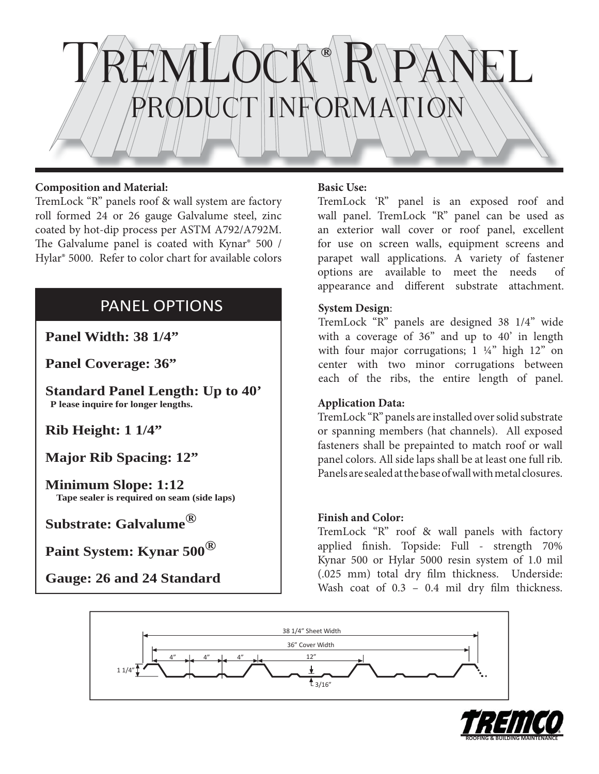

### **Composition and Material:**

TremLock "R" panels roof & wall system are factory roll formed 24 or 26 gauge Galvalume steel, zinc coated by hot-dip process per ASTM A792/A792M. The Galvalume panel is coated with Kynar® 500 / Hylar® 5000. Refer to color chart for available colors

# PANEL OPTIONS

**Panel Width: 38 1/4"**

**Panel Coverage: 36"**

**Standard Panel Length: Up to 40' P lease inquire for longer lengths.**

**Rib Height: 1 1/4"**

**Major Rib Spacing: 12"**

**Minimum Slope: 1:12 Tape sealer is required on seam (side laps)**

**Substrate: Galvalume®**

**Paint System: Kynar 500®**

 **Gauge: 26 and 24 Standard**

## **Basic Use:**

TremLock 'R" panel is an exposed roof and wall panel. TremLock "R" panel can be used as an exterior wall cover or roof panel, excellent for use on screen walls, equipment screens and parapet wall applications. A variety of fastener options are available to meet the needs of appearance and different substrate attachment.

## **System Design**:

TremLock "R" panels are designed 38 1/4" wide with a coverage of 36" and up to 40' in length with four major corrugations;  $1 \frac{1}{4}$  high  $12$  on center with two minor corrugations between each of the ribs, the entire length of panel.

### **Application Data:**

TremLock "R" panels are installed over solid substrate or spanning members (hat channels). All exposed fasteners shall be prepainted to match roof or wall panel colors. All side laps shall be at least one full rib. Panels are sealed at the base of wall with metal closures.

### **Finish and Color:**

TremLock "R" roof & wall panels with factory applied finish. Topside: Full - strength 70% Kynar 500 or Hylar 5000 resin system of 1.0 mil (.025 mm) total dry film thickness. Underside: Wash coat of  $0.3 - 0.4$  mil dry film thickness.